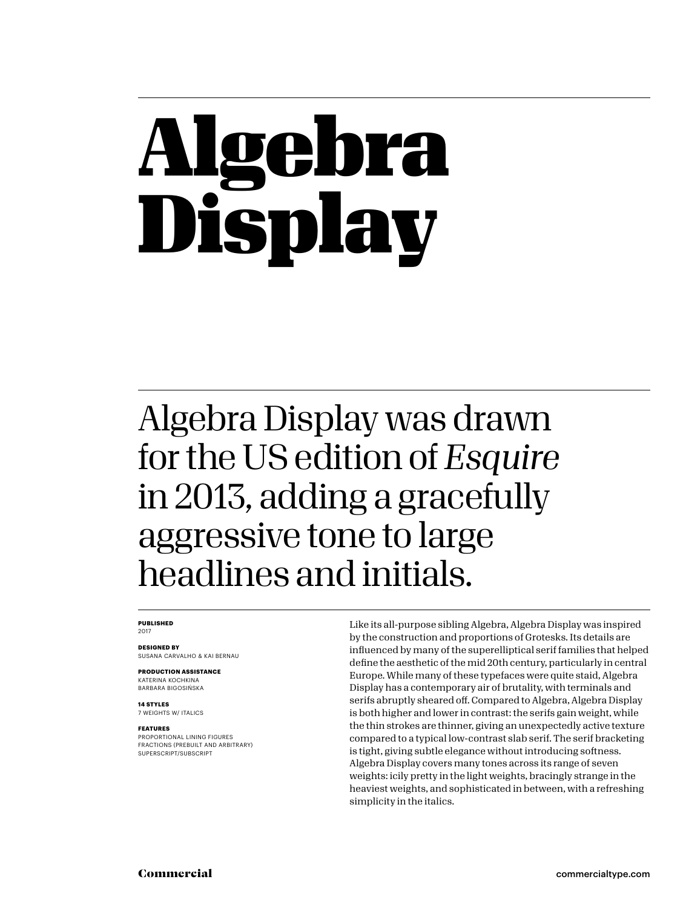## bra Display

#### Algebra Display was drawn for the US edition of *Esquire* in 2013, adding a gracefully aggressive tone to large headlines and initials.

#### **PUBLISHED** 2017

**DESIGNED BY** SUSANA CARVALHO & KAI BERNAU

**PRODUCTION ASSISTANCE** KATERINA KOCHKINA BARBARA BIGOSIŃSKA

**14 STYLES** 7 WEIGHTS W/ ITALICS

#### **FEATURES**

PROPORTIONAL LINING FIGURES FRACTIONS (PREBUILT AND ARBITRARY) SUPERSCRIPT/SUBSCRIPT

Like its all-purpose sibling Algebra, Algebra Display was inspired by the construction and proportions of Grotesks. Its details are influenced by many of the superelliptical serif families that helped define the aesthetic of the mid 20th century, particularly in central Europe. While many of these typefaces were quite staid, Algebra Display has a contemporary air of brutality, with terminals and serifs abruptly sheared off. Compared to Algebra, Algebra Display is both higher and lower in contrast: the serifs gain weight, while the thin strokes are thinner, giving an unexpectedly active texture compared to a typical low-contrast slab serif. The serif bracketing is tight, giving subtle elegance without introducing softness. Algebra Display covers many tones across its range of seven weights: icily pretty in the light weights, bracingly strange in the heaviest weights, and sophisticated in between, with a refreshing simplicity in the italics.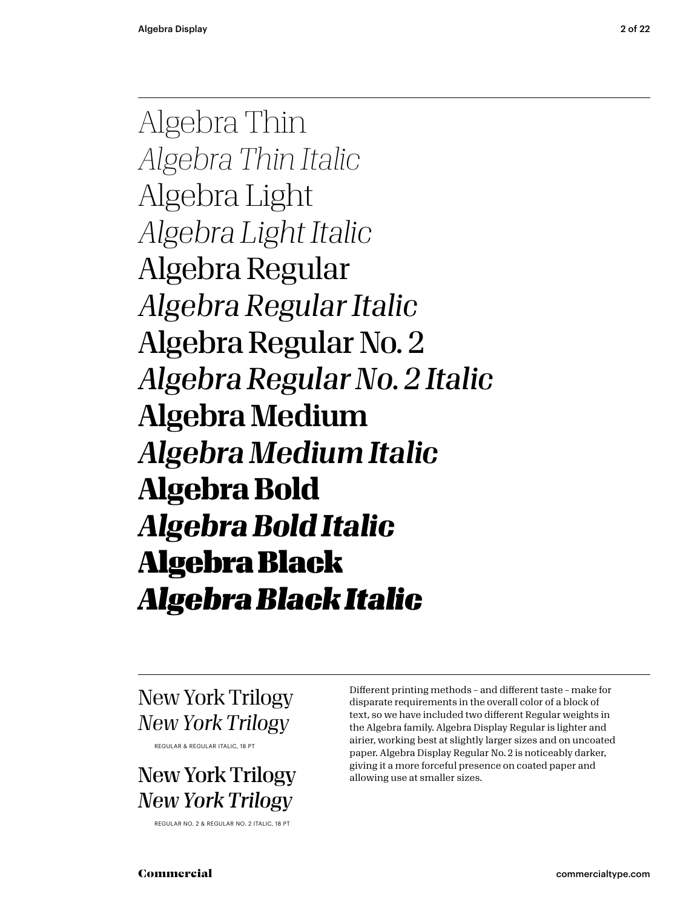Algebra Thin *Algebra Thin Italic* Algebra Light *Algebra Light Italic* Algebra Regular *Algebra Regular Italic* Algebra Regular No. 2 *Algebra Regular No. 2 Italic* Algebra Medium *Algebra Medium Italic* **Algebra Bold** *Algebra Bold Italic* Algebra Black *Algebra Black Italic*

New York Trilogy *New York Trilogy* 

REGULAR & REGULAR ITALIC, 18 PT

New York Trilogy *New York Trilogy*

REGULAR NO. 2 & REGULAR NO. 2 ITALIC, 18 PT

Different printing methods – and different taste – make for disparate requirements in the overall color of a block of text, so we have included two different Regular weights in the Algebra family. Algebra Display Regular is lighter and airier, working best at slightly larger sizes and on uncoated paper. Algebra Display Regular No. 2 is noticeably darker, giving it a more forceful presence on coated paper and allowing use at smaller sizes.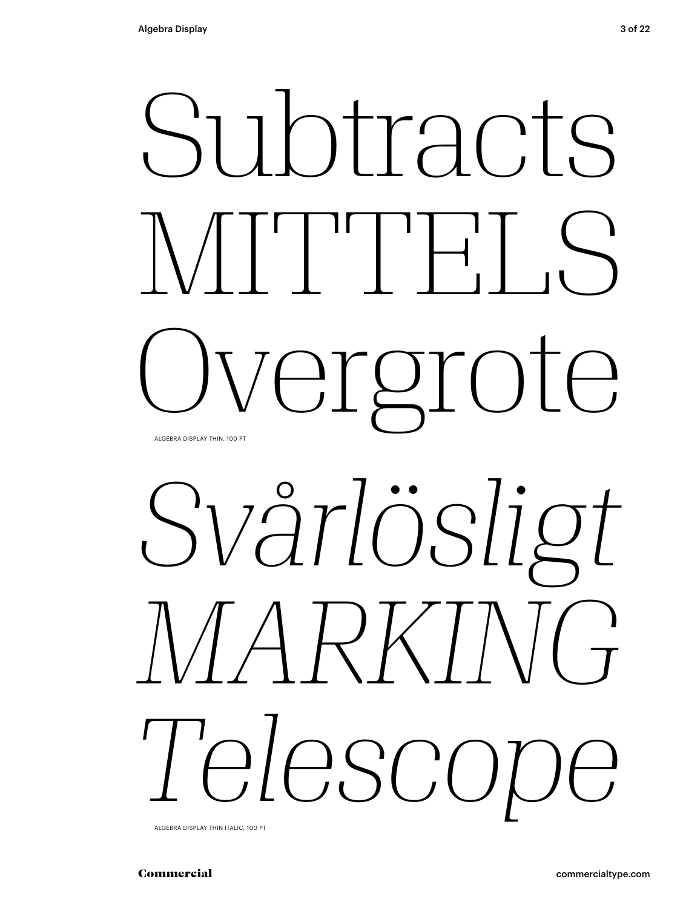

# *Svårlösligt MARKING Telescope*

ALGEBRA DISPLAY THIN ITALIC, 100 PT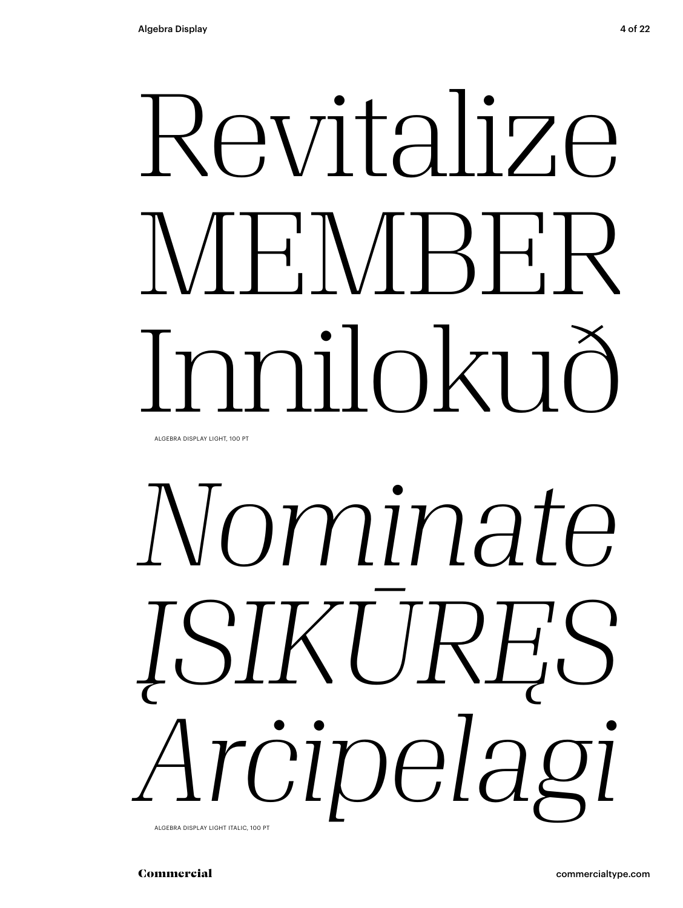## Revitalize  $N/H'N/H'$ milokuô

ALGEBRA DISPLAY LIGHT, 100 PT

# Nominate JSIKURES Arcipelagi

ALGEBRA DISPLAY LIGHT ITALIC, 100 PT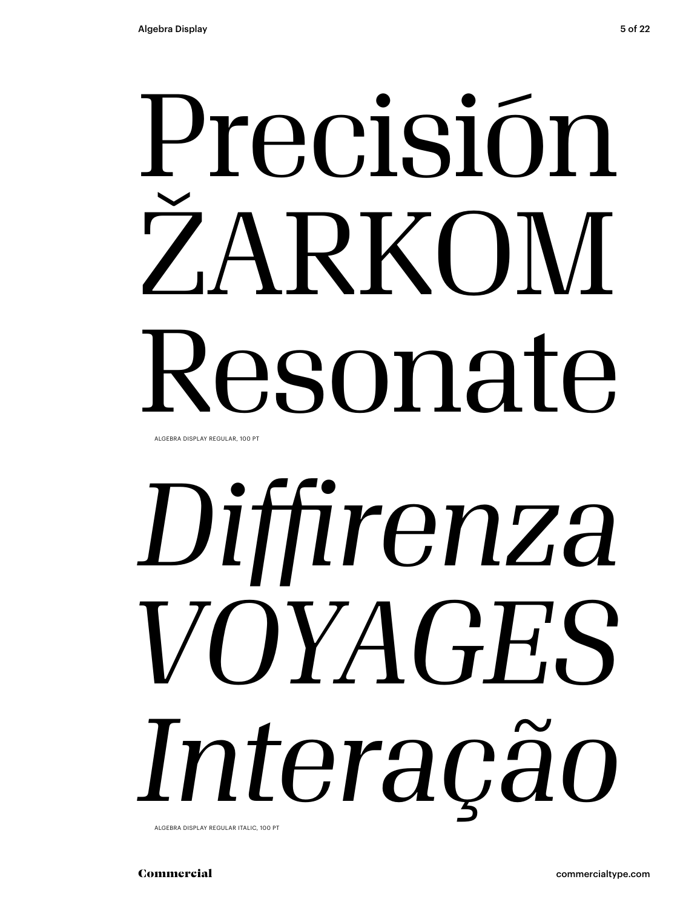## Precisión ŽARKOM Resonate

ALGEBRA DISPLAY REGULAR, 100 PT

# *Diffirenza VOYAGES Interação*

ALGEBRA DISPLAY REGULAR ITALIC, 100 PT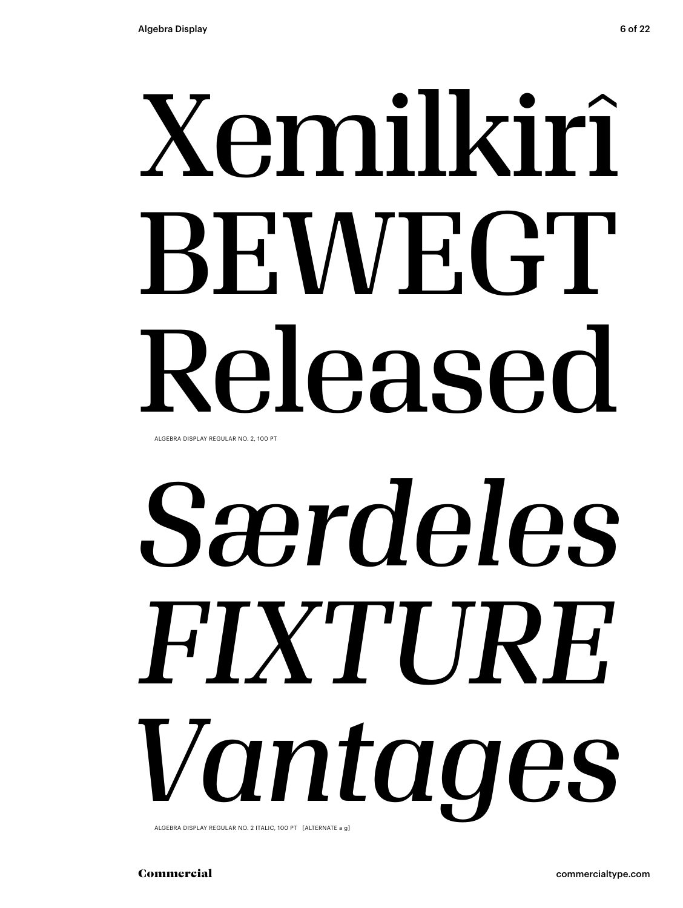# Xemilkirî BEN/EGT Released

ALGEBRA DISPLAY REGULAR NO. 2, 100 PT

# Særdeles FIXTIJRF. Vantages

ALGEBRA DISPLAY REGULAR NO. 2 ITALIC, 100 PT [ALTERNATE a g]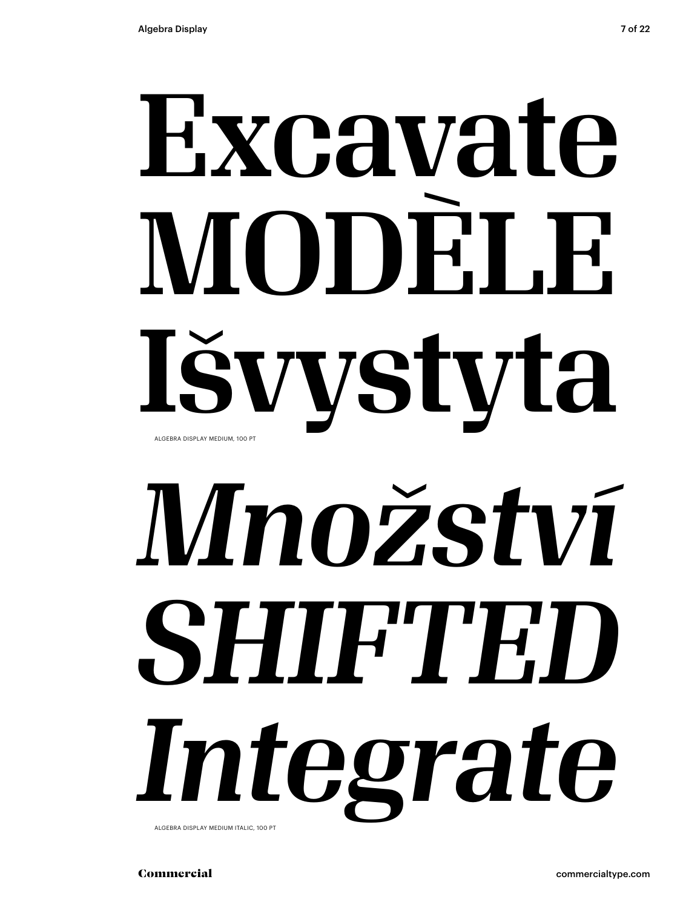## Excavate. MODEL F. Išvystyta ALGEBRA DISPLAY MEDIUM, 100 PT

# Množství SHIFTED. Integrate

ALGEBRA DISPLAY MEDIUM ITALIC, 100 PT

7 of 22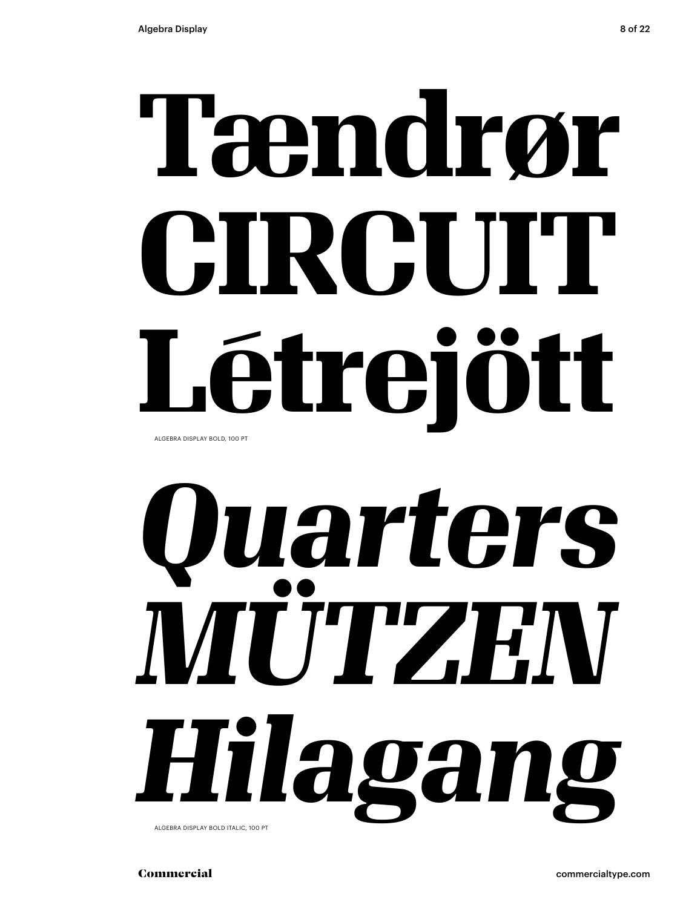## Tændrør CIRCITT Létreiött ALGEBRA DISPLAY BOLD, 100 PT

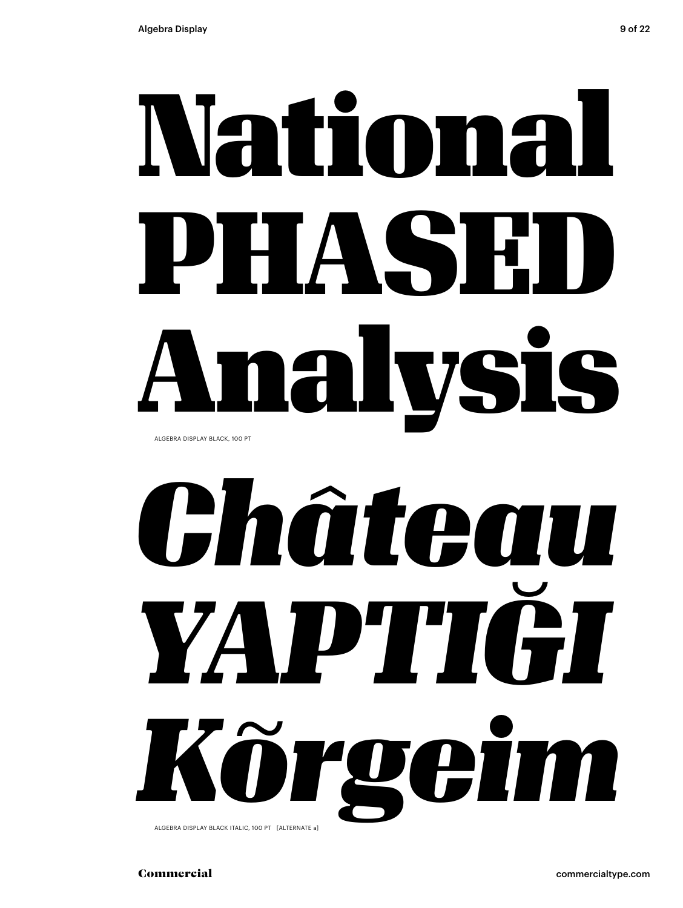## National PHASE Analysis ALGEBRA DISPLAY BLACK, 100 PT

*Château YAPTIĞI Kõrgeim* ALGEBRA DISPLAY BLACK ITALIC, 100 PT [ALTERNATE a]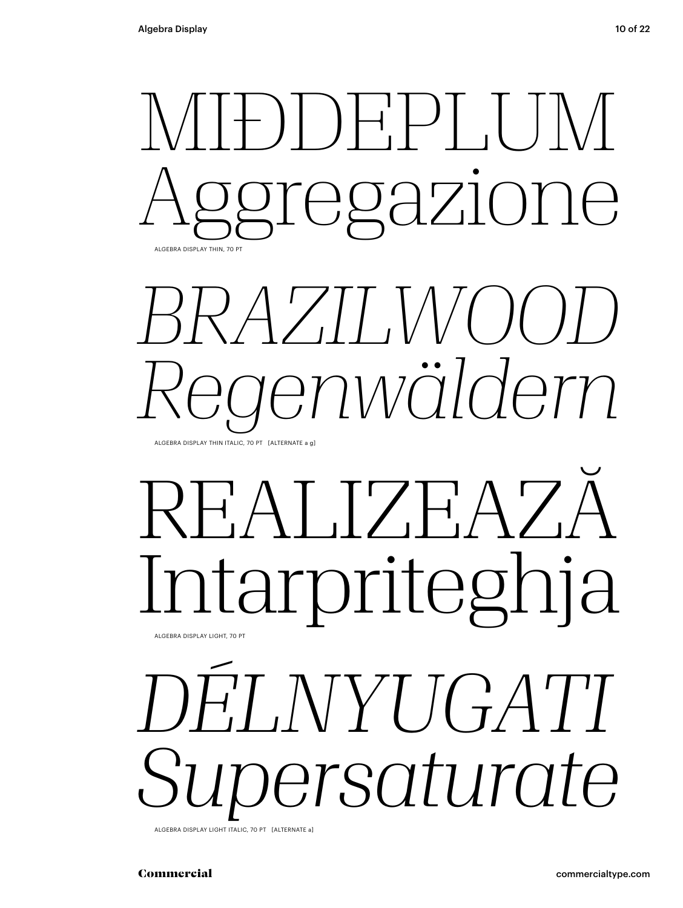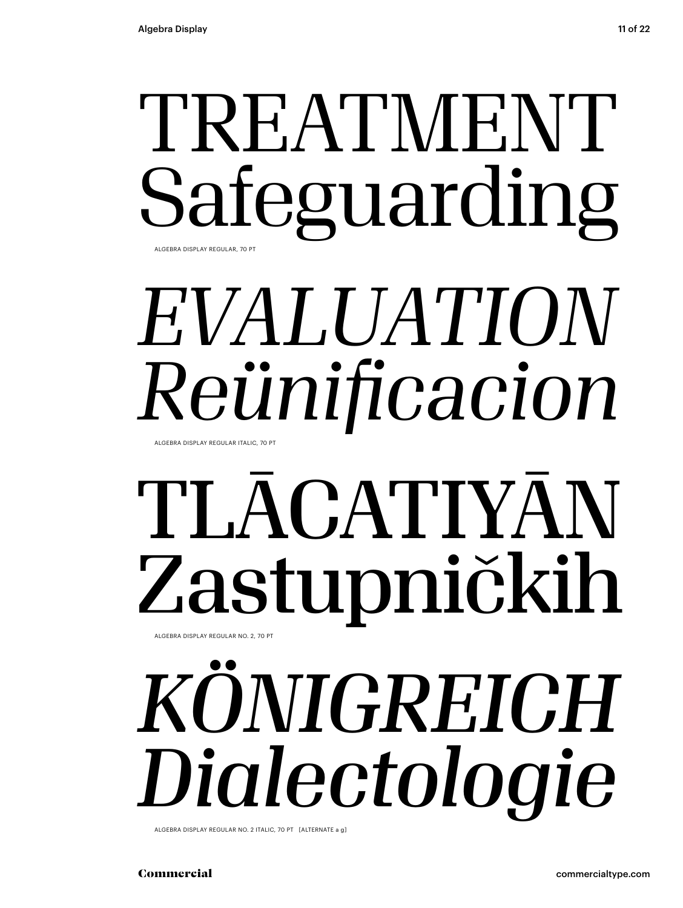### TREATMENT Safeguarding ALGEBRA DISPLAY REGULAR, 70 PT

## *EVALUATION Reünificacion*

ALGEBRA DISPLAY REGULAR ITALIC, 70 PT

### TLĀCATIYĀN Zastupničkih ALGEBRA DISPLAY REGULAR NO. 2, 70 PT

## *KÖNIGREICH Dialectologie*

ALGEBRA DISPLAY REGULAR NO. 2 ITALIC, 70 PT [ALTERNATE a g]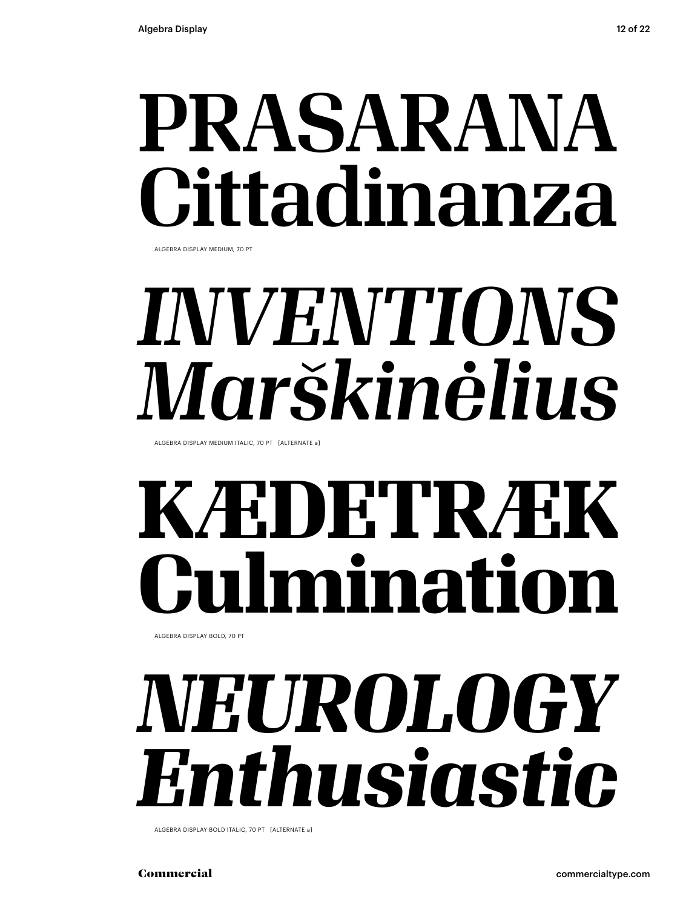## PRASARANA Cittadinanza

ALGEBRA DISPLAY MEDIUM, 70 PT

## *INVENTIONS Marškinėlius*

ALGEBRA DISPLAY MEDIUM ITALIC, 70 PT [ALTERNATE a]

## **KÆDETRÆK Culmination**

ALGEBRA DISPLAY BOLD, 70 PT

## *NEUROLOGY Enthusiastic*

ALGEBRA DISPLAY BOLD ITALIC, 70 PT [ALTERNATE a]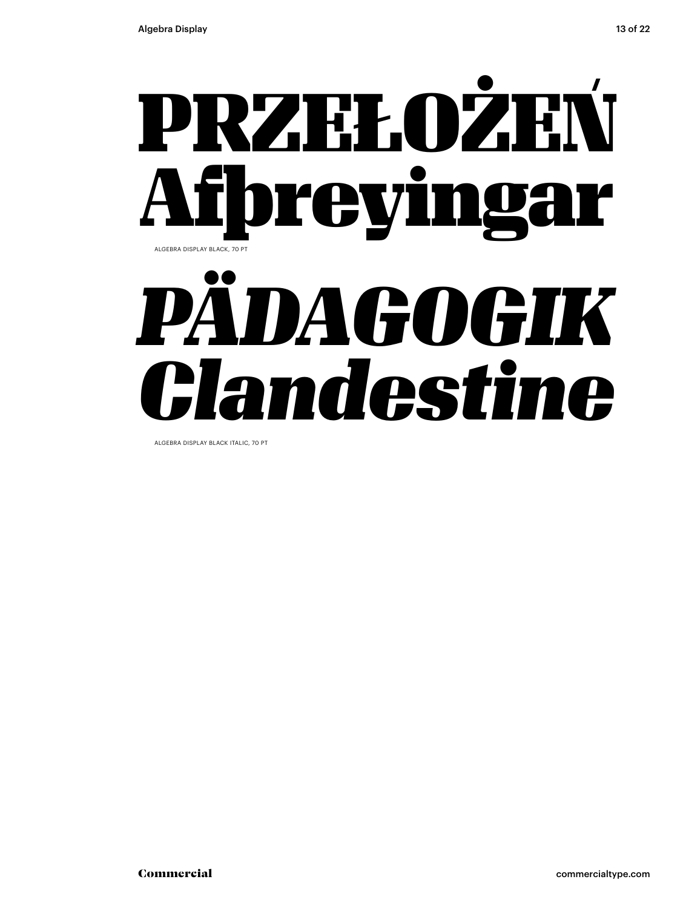

ALGEBRA DISPLAY BLACK ITALIC, 70 PT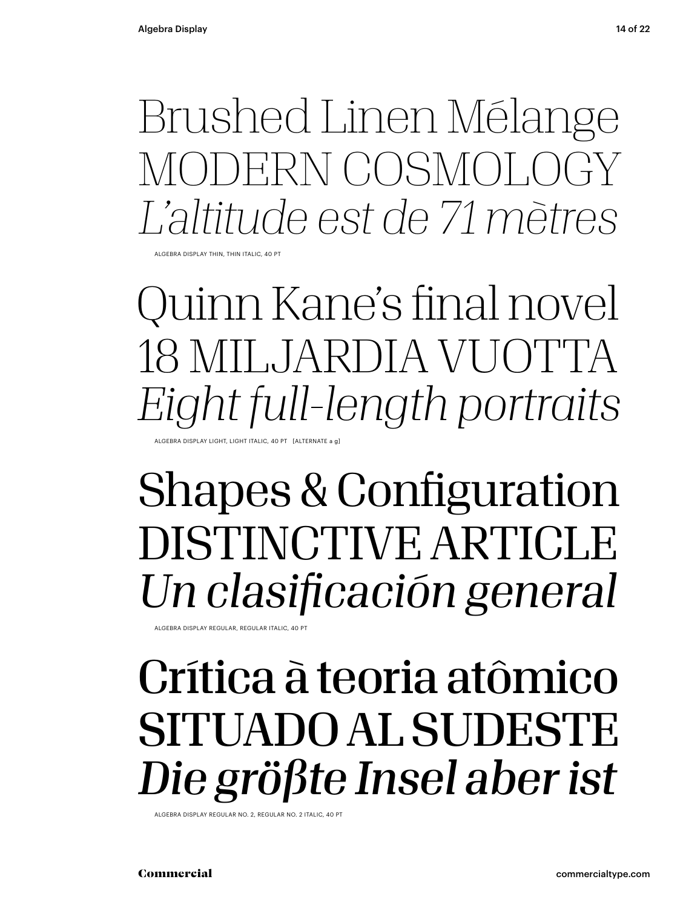Brushed Linen Mélange MODERN COSMOLOGY *L'altitude est de 71 mètres*

ALGEBRA DISPLAY THIN, THIN ITALIC, 40 PT

Quinn Kane's final novel 18 MILJARDIA VUOTTA *Eight full-length portraits* ALGEBRA DISPLAY LIGHT, LIGHT ITALIC, 40 PT [ALTERNATE a g]

#### Shapes & Configuration DISTINCTIVE ARTICLE *Un clasificación general*

ALGEBRA DISPLAY REGULAR, REGULAR ITALIC, 40 PT

### Crítica à teoria atômico SITUADO AL SUDESTE *Die größte Insel aber ist*

ALGEBRA DISPLAY REGULAR NO. 2, REGULAR NO. 2 ITALIC, 40 PT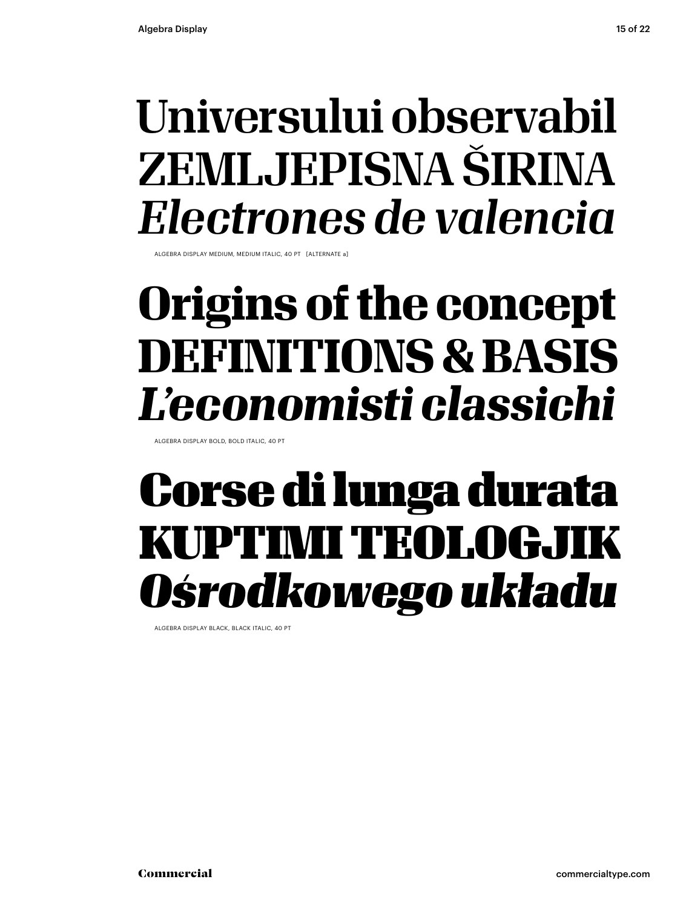### Universului observabil ZEMLJEPISNA ŠIRINA *Electrones de valencia*

ALGEBRA DISPLAY MEDIUM, MEDIUM ITALIC, 40 PT [ALTERNATE a]

### **Origins of the concept DEFINITIONS & BASIS** *L'economisti classichi*

ALGEBRA DISPLAY BOLD, BOLD ITALIC, 40 PT

### Corse di lunga durata KUPTIMI TEOLOGJIK *Ośrodkowego układu*

ALGEBRA DISPLAY BLACK, BLACK ITALIC, 40 PT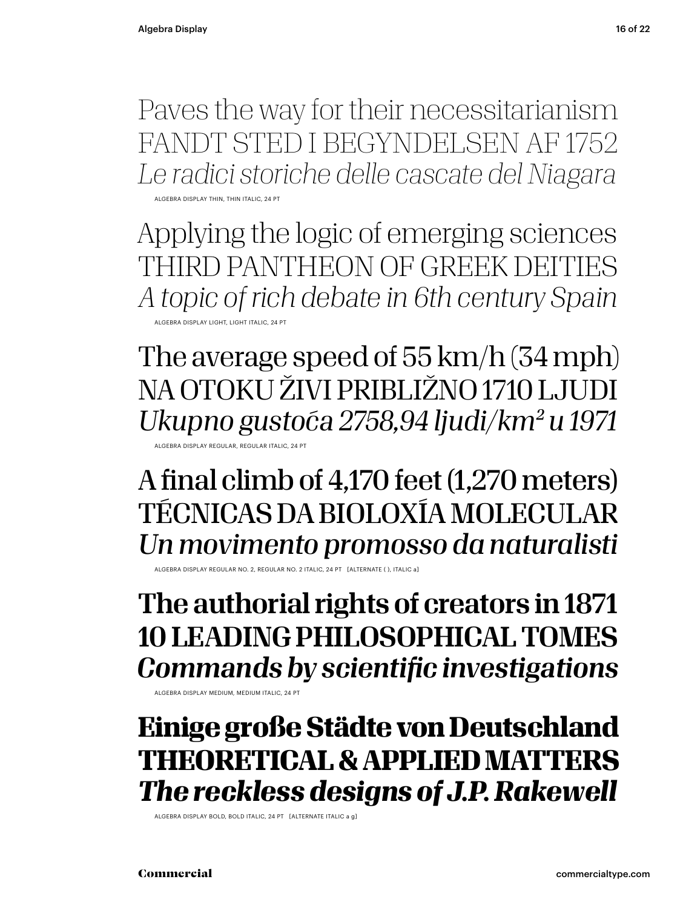Paves the way for their necessitarianism FANDT STED I BEGYNDELSEN AF 1752 *Le radici storiche delle cascate del Niagara*

ALGEBRA DISPLAY THIN, THIN ITALIC, 24 PT

Applying the logic of emerging sciences THIRD PANTHEON OF GREEK DEITIES *A topic of rich debate in 6th century Spain* ALGEBRA DISPLAY LIGHT, LIGHT ITALIC,

The average speed of 55 km/h (34 mph) NA OTOKU ŽIVI PRIBLIŽNO 1710 LJUDI *Ukupno gustoća 2758,94 ljudi / km2 u 1971* ALGEBRA DISPLAY REGULAR, REGULAR ITALIC, 24 PT

A final climb of 4,170 feet (1,270 meters) TÉCNICAS DA BIOLOXÍA MOLECULAR *Un movimento promosso da naturalisti*

REGULAR NO. 2, REGULAR NO. 2, ITALIC, 24 PT

The authorial rights of creators in 1871 10 LEADING PHILOSOPHICAL TOMES *Commands by scientific investigations*

ALGEBRA DISPLAY MEDIUM, MEDIUM ITALIC, 24 PT

#### **Einige große Städte von Deutschland THEORETICAL & APPLIED MATTERS** *The reckless designs of J.P. Rakewell*

ALGEBRA DISPLAY BOLD, BOLD ITALIC, 24 PT [ALTERNATE ITALIC a g]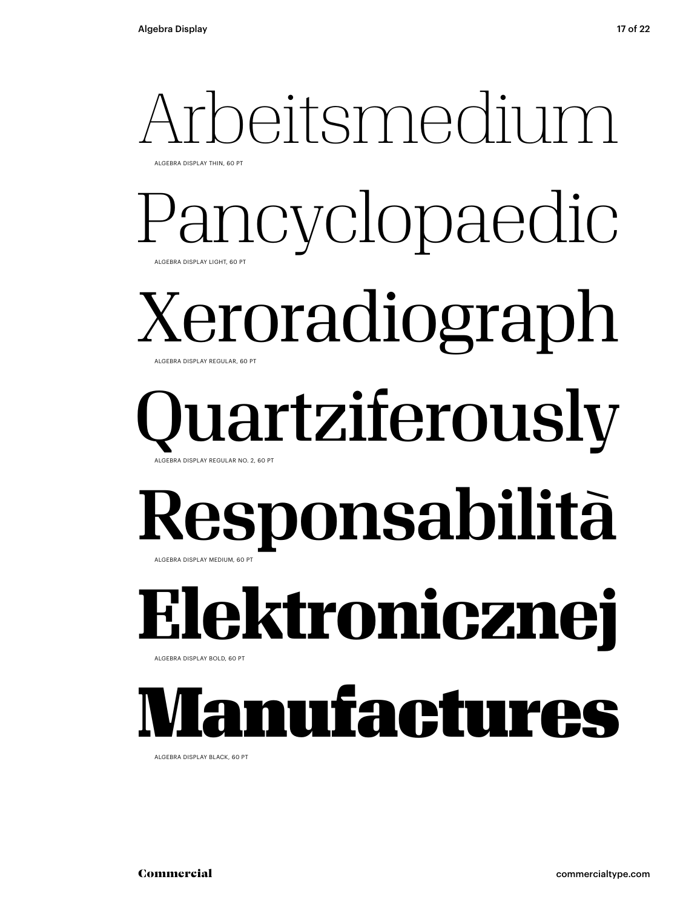#### Arbeitsmedium ALGEBRA DISPLAY THIN, 60 PT

Pancyclopaedic ALGEBRA DISPLAY LIGHT, 60 PT

#### Xeroradiograph ALGEBRA DISPLAY REGULAR, 60 PT

#### lartziferously ALGEBRA DISPLAY REGULAR NO. 2, 60 PT

#### Responsabilità ALGEBRA DISPLAY MEDIUM, 60 PT

**Elektronicznej**

ALGEBRA DISPLAY BOLD, 60 PT

### Manufactures

ALGEBRA DISPLAY BLACK, 60 PT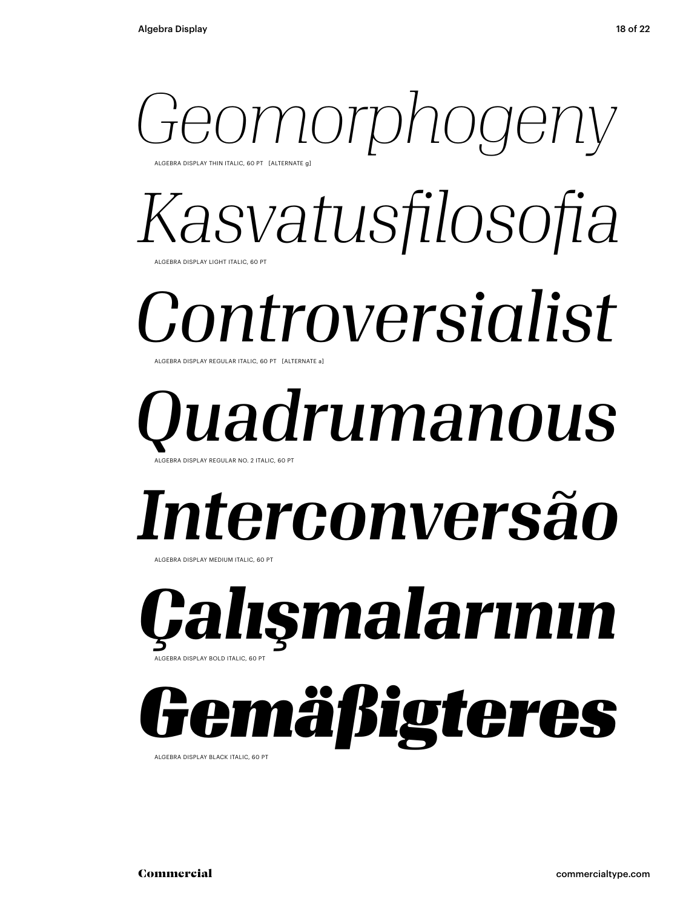#### *Geomorphogeny* ALGEBRA DISPLAY THIN ITALIC, 60 PT [ALTERNATE g]

*Kasvatusfilosofia* ALGEBRA DISPLAY LIGHT ITALIC, 60 PT

#### *Controversialist* ALGEBRA DISPLAY REGULAR ITALIC, 60 PT [ALTERNATE a]

#### *Quadrumanous* ALGEBRA DISPLAY REGULAR NO. 2 ITALIC, 60 PT

### *Interconversão*

ALGEBRA DISPLAY MEDIUM ITALIC, 60 PT

*Çalışmalarının* ALGEBRA DISPLAY BOLD ITALIC, 60 PT

### *Gemäßigteres*

ALGEBRA DISPLAY BLACK ITALIC, 60 PT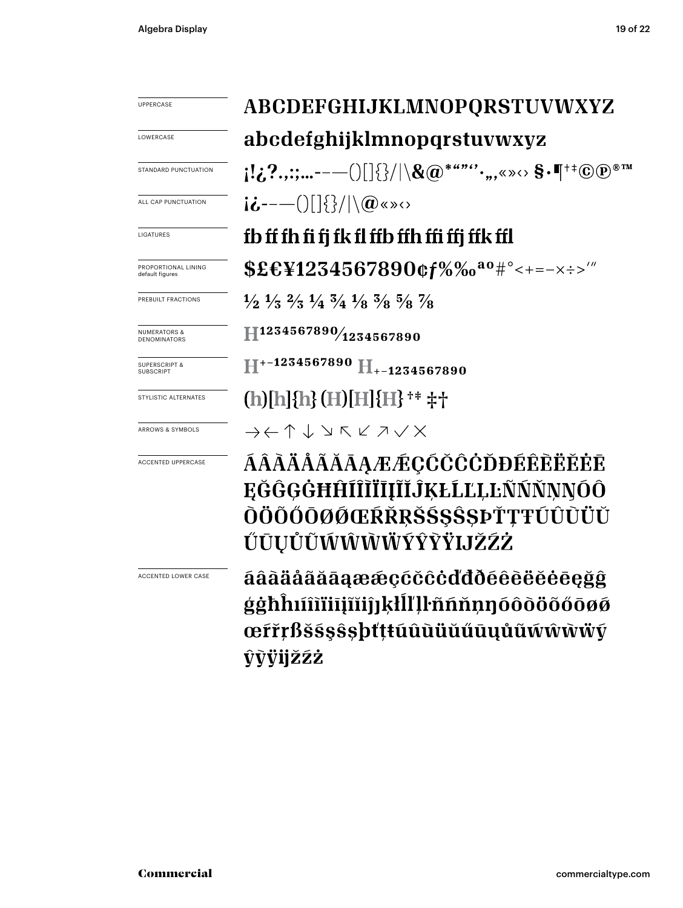| <b>UPPERCASE</b>                             | ABCDEFGHIJKLMNOPQRSTUVWXYZ<br>abcdefghijklmnopqrstuvwxyz                                                                                   |  |
|----------------------------------------------|--------------------------------------------------------------------------------------------------------------------------------------------|--|
| LOWERCASE                                    |                                                                                                                                            |  |
| STANDARD PUNCTUATION                         |                                                                                                                                            |  |
| ALL CAP PUNCTUATION                          | $i\dot{\mathbf{\omega}}$ ----()[]{}/ \@«»<>                                                                                                |  |
| LIGATURES                                    | fb ff fh fi fj fk fl ffb ffh ffi ffj ffk ffl                                                                                               |  |
| PROPORTIONAL LINING<br>default figures       | $$EEY1234567890$ $$f\%$ % $a^0$ # ° < + = - x ÷ > '"                                                                                       |  |
| PREBUILT FRACTIONS                           | $\frac{1}{2}$ $\frac{1}{3}$ $\frac{2}{3}$ $\frac{1}{4}$ $\frac{3}{4}$ $\frac{1}{8}$ $\frac{3}{8}$ $\frac{5}{8}$ $\frac{7}{8}$              |  |
| <b>NUMERATORS &amp;</b><br>DENOMINATORS      | $\bf \mathbb{H}^{1234567890}\!\!/\!\!\!\!\mathit{1234567890}$                                                                              |  |
| <b>SUPERSCRIPT &amp;</b><br><b>SUBSCRIPT</b> | $H^{+-1234567890}$ $H_{+-1234567890}$                                                                                                      |  |
| STYLISTIC ALTERNATES                         | (h)[h]{h} (H)[H]{H} <sup>+</sup> * \#\                                                                                                     |  |
| ARROWS & SYMBOLS                             | $\rightarrow\leftarrow\uparrow\downarrow\vee\mathop{\bar\wedge}\nolimits\,\swarrow\curlywedge\mathop{\bar\vee}\nolimits\,\swarrow\,\times$ |  |
| ACCENTED UPPERCASE                           | ÁÂÀÄÅÃĂĀĄÆÆÇĆČĈÒĐÉÊÈËĔĖĒ<br><b>EĞĜGĠĦĤÍÎĨĬĨĮĨĬĴĶŁĹĽĻĿÑŃŇŅŊÓÔ</b><br>ÒÖÕŐŌØØŒŔŘŖŠŚŞŜŞÞŤŢŦÚÛÙÜŬ<br>ŰŪŲŮŨŴŴŴŴÝŶŸIJŽŹŻ                         |  |
| <b>ACCENTED LOWER CASE</b>                   | áâàäååãāaææçcčccddðéêèëĕėēeğĝ<br>ġġħĥıíîìïiiįĩiiĵjķłĺľļŀññňņŋóôòöőőōøø<br>œŕřŗßšśşŝşþťţŧúûùüŭűūųůũẃŵẁŸý<br>ŷỳÿijžźż                        |  |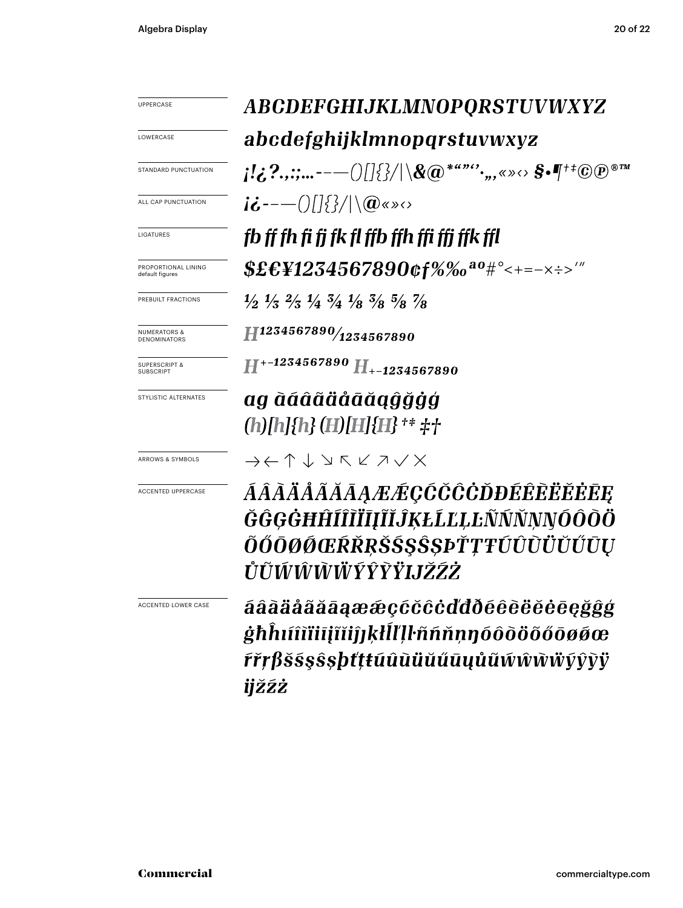UPPERCASE

LOWERCASE

STANDARD PUNCTUATION

ALL CAP PUNCTUATION

LIGATURES

PROPORTIONAL LINING default figures

PREBUILT FRACTIONS

NUMERATORS & DENOMINATORS

SUPERSCRIPT & SUBSCRIPT

STYLISTIC ALTERNATES

ARROWS & SYMBOLS

ACCENTED UPPERCASE

ACCENTED LOWER CASE

ABCDEFGHIJKLMNOPORSTUVWXYZ abcdefghijklmnopgrstuvwxyz  $\{[\mathcal{L}, ?, :; ... \mathsf{---}()[\]\{\}/|\setminus\mathcal{R}(\widehat{\boldsymbol{a}})^{****}, \ldots, \mathcal{S} \mathsf{--} \mathsf{--}^{\mathsf{+}\mathsf{+}}\mathbb{C}(\widehat{\mathbf{p}})^{\otimes \mathsf{--} \mathsf{--}}\}$  $i\dot{\mathbf{c}}$  --- ()[]{}/|\ $\mathbf{a}$ «» $\circ$ fb ff fh fi fj fk fl ffb ffh ffi ffj ffk ffl  $$E&F41234567890$  of %% a  $0$  # ° < + = - x : > '"

 $\frac{1}{2}$   $\frac{1}{3}$   $\frac{2}{3}$   $\frac{1}{4}$   $\frac{3}{4}$   $\frac{1}{8}$   $\frac{3}{8}$   $\frac{5}{8}$   $\frac{7}{8}$ 

 $\widehat{H}^{1234567890\!/_{1234567890}$ 

 $H^{*-1234567890} H_{*-1234567890}$ 

ag àáâãäåāăagĝğģģ (h)[h]{h} (H)[H]{H} <sup>+</sup>\* \#\

 $\rightarrow \leftarrow \uparrow \downarrow \vee \mathsf{K} \vee \mathsf{Z} \vee \mathsf{X}$ 

ÁÂÀÄÅÃĂĀĄÆÆÇĆČĈÒĐÉÊÈËĔĒĘ ĞĜGĠĦĤÍÎĨĬĪĮĨĬĴĶŁĹĽĻĿÑŃŇNNÓÔÒÖ ÕŐŌØØŒŔŘŖŠŚ\$ŜŞÞŤŢŦÚÛÙÜŬŰŪŲ ŮŨŴŴŴŴÝŶŶŸIJŽŹŻ

áâãäåãããaææccccccddðéêèëĕėēeğĝģ ġħĥıíîìïiiįĩiiĵjķłĺľļŀññňņŋóôòöõőōøøœ ŕřŗβš§şŝşþťţŧúûùüŭűūųůũŵŵẁννŷŷỳ ijžźż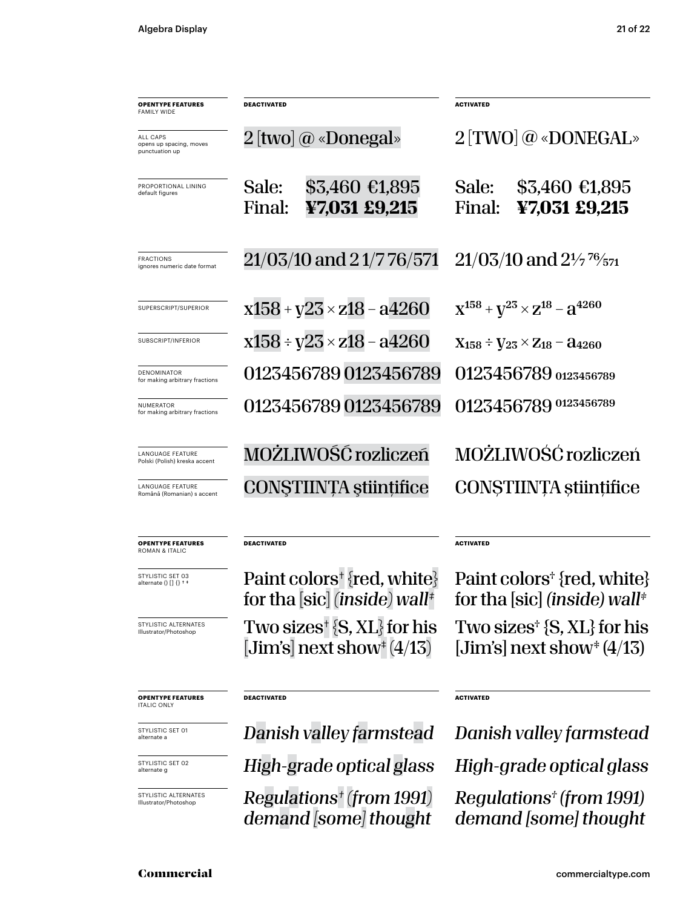| <b>OPENTYPE FEATURES</b><br><b>FAMILY WIDE</b>        | DEACTIVATED                                                                           | <b>ACTIVATED</b>                                                                    |
|-------------------------------------------------------|---------------------------------------------------------------------------------------|-------------------------------------------------------------------------------------|
| ALL CAPS<br>opens up spacing, moves<br>punctuation up | $2$ [two] @ «Donegal»                                                                 | 2 [TWO] @ «DONEGAL»                                                                 |
| PROPORTIONAL LINING<br>default figures                | \$3,460 €1,895<br>Sale:<br>¥7,031 £9,215<br>Final:                                    | Sale:<br>$$3,460$ €1,895<br>Final:<br>¥7,031 £9,215                                 |
| <b>FRACTIONS</b><br>ignores numeric date format       | 21/03/10 and 21/7 76/571                                                              | $21/03/10$ and $2\frac{1}{7}$ $\frac{76}{571}$                                      |
| SUPERSCRIPT/SUPERIOR                                  | $x158 + y23 \times z18 - a4260$                                                       | $X^{158}$ + $V^{23}$ $\times$ $Z^{18}$ – $A^{4260}$                                 |
| SUBSCRIPT/INFERIOR                                    | $x158 \div y23 \times z18 - a4260$                                                    | $X_{158} \div V_{23} \times Z_{18} - a_{4260}$                                      |
| <b>DENOMINATOR</b><br>for making arbitrary fractions  | 0123456789 0123456789                                                                 | 0123456789 0123456789                                                               |
| NUMERATOR<br>for making arbitrary fractions           | 0123456789 0123456789                                                                 | 0123456789 0123456789                                                               |
| LANGUAGE FEATURE<br>Polski (Polish) kreska accent     | MOŻLIWOŚĆ rozliczeń                                                                   | MOŻLIWOŚĆ rozliczeń                                                                 |
| LANGUAGE FEATURE<br>Română (Romanian) s accent        | CONSTIINȚA științifice                                                                | CONSTIINTA stiințifice                                                              |
| <b>OPENTYPE FEATURES</b><br>ROMAN & ITALIC            | DEACTIVATED                                                                           | <b>ACTIVATED</b>                                                                    |
| STYLISTIC SET 03<br>alternate () [] {} + *            | Paint colors <sup>+</sup> {red, white}<br>for tha [sic] (inside) wall‡                | Paint colors <sup>†</sup> {red, white}<br>for tha [sic] (inside) wall*              |
| STYLISTIC ALTERNATES<br>Illustrator/Photoshop         | Two sizes $\{S, XL\}$ for his<br>[Jim's] next show <sup><math>\pm</math></sup> (4/13) | Two sizes <sup><math>\pm</math></sup> {S, XL} for his<br>[Jim's] next show $(4/13)$ |
| OPFNTYPE EFATHPES                                     | <b>DEACTIVATED</b>                                                                    | ACTIVATED                                                                           |

**OPENTYPE FEATURES** ITALIC ONLY

STYLISTIC SET 01 alternate a

STYLISTIC SET 02 alternate g

STYLISTIC ALTERNATES Illustrator/Photoshop

*Regulations† (from 1991) demand [some] thought*

*Danish valley farmstead Danish valley farmstead High-grade optical glass High-grade optical glass*

> *Regulations† (from 1991) demand [some] thought*